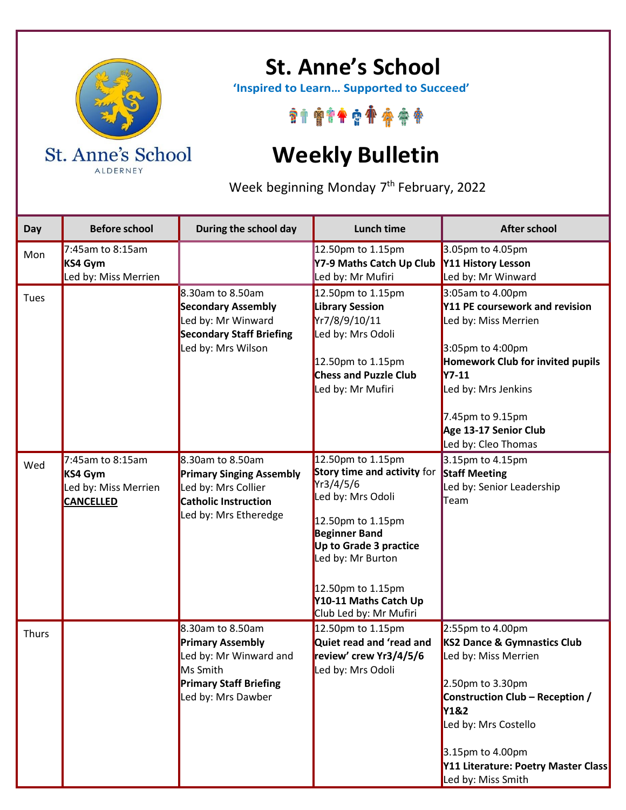

ALDERNEY

## **St. Anne's School**

 **'Inspired to Learn… Supported to Succeed'**

\*\*\*\*\*\*\*\*\*\*

## **Weekly Bulletin**

Week beginning Monday 7<sup>th</sup> February, 2022

| Day   | <b>Before school</b>                                                    | During the school day                                                                                                                    | Lunch time                                                                                                                                                                                                                                                    | <b>After school</b>                                                                                                                                                                                                                             |
|-------|-------------------------------------------------------------------------|------------------------------------------------------------------------------------------------------------------------------------------|---------------------------------------------------------------------------------------------------------------------------------------------------------------------------------------------------------------------------------------------------------------|-------------------------------------------------------------------------------------------------------------------------------------------------------------------------------------------------------------------------------------------------|
| Mon   | 7:45am to 8:15am<br>KS4 Gym<br>Led by: Miss Merrien                     |                                                                                                                                          | 12.50pm to 1.15pm<br>Y7-9 Maths Catch Up Club<br>Led by: Mr Mufiri                                                                                                                                                                                            | 3.05pm to 4.05pm<br>Y11 History Lesson<br>Led by: Mr Winward                                                                                                                                                                                    |
| Tues  |                                                                         | 8.30am to 8.50am<br><b>Secondary Assembly</b><br>Led by: Mr Winward<br><b>Secondary Staff Briefing</b><br>Led by: Mrs Wilson             | 12.50pm to 1.15pm<br><b>Library Session</b><br>Yr7/8/9/10/11<br>Led by: Mrs Odoli<br>12.50pm to 1.15pm<br><b>Chess and Puzzle Club</b><br>Led by: Mr Mufiri                                                                                                   | 3:05am to 4.00pm<br>Y11 PE coursework and revision<br>Led by: Miss Merrien<br>3:05pm to 4:00pm<br>Homework Club for invited pupils<br><b>Y7-11</b><br>Led by: Mrs Jenkins<br>7.45pm to 9.15pm<br>Age 13-17 Senior Club<br>Led by: Cleo Thomas   |
| Wed   | 7:45am to 8:15am<br>KS4 Gym<br>Led by: Miss Merrien<br><b>CANCELLED</b> | 8.30am to 8.50am<br><b>Primary Singing Assembly</b><br>Led by: Mrs Collier<br><b>Catholic Instruction</b><br>Led by: Mrs Etheredge       | 12.50pm to 1.15pm<br><b>Story time and activity for</b><br>Yr3/4/5/6<br>Led by: Mrs Odoli<br>12.50pm to 1.15pm<br><b>Beginner Band</b><br>Up to Grade 3 practice<br>Led by: Mr Burton<br>12.50pm to 1.15pm<br>Y10-11 Maths Catch Up<br>Club Led by: Mr Mufiri | 3.15pm to 4.15pm<br><b>Staff Meeting</b><br>Led by: Senior Leadership<br>Team                                                                                                                                                                   |
| Thurs |                                                                         | 8.30am to 8.50am<br><b>Primary Assembly</b><br>Led by: Mr Winward and<br>Ms Smith<br><b>Primary Staff Briefing</b><br>Led by: Mrs Dawber | 12.50pm to 1.15pm<br>Quiet read and 'read and<br>review' crew Yr3/4/5/6<br>Led by: Mrs Odoli                                                                                                                                                                  | 2:55pm to 4.00pm<br>KS2 Dance & Gymnastics Club<br>Led by: Miss Merrien<br>2.50pm to 3.30pm<br>Construction Club - Reception /<br>Y1&2<br>Led by: Mrs Costello<br>3.15pm to 4.00pm<br>Y11 Literature: Poetry Master Class<br>Led by: Miss Smith |